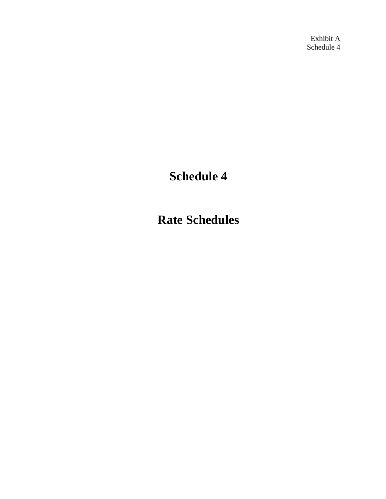Exhibit A Schedule 4

# **Schedule 4**

**Rate Schedules**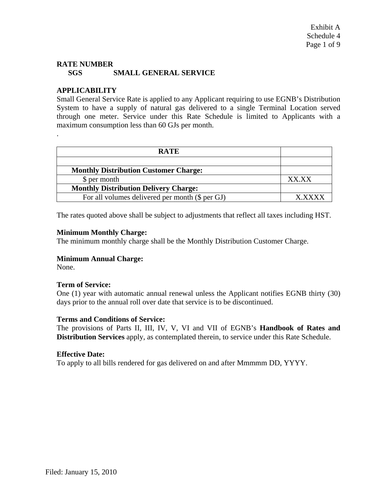# **RATE NUMBER SGS SMALL GENERAL SERVICE**

# **APPLICABILITY**

Small General Service Rate is applied to any Applicant requiring to use EGNB's Distribution System to have a supply of natural gas delivered to a single Terminal Location served through one meter. Service under this Rate Schedule is limited to Applicants with a maximum consumption less than 60 GJs per month.

| <b>RATE</b>                                     |        |
|-------------------------------------------------|--------|
|                                                 |        |
| <b>Monthly Distribution Customer Charge:</b>    |        |
| \$ per month                                    | XX XX  |
| <b>Monthly Distribution Delivery Charge:</b>    |        |
| For all volumes delivered per month (\$ per GJ) | Y YYYY |

The rates quoted above shall be subject to adjustments that reflect all taxes including HST.

## **Minimum Monthly Charge:**

The minimum monthly charge shall be the Monthly Distribution Customer Charge.

## **Minimum Annual Charge:**

None.

.

## **Term of Service:**

One (1) year with automatic annual renewal unless the Applicant notifies EGNB thirty (30) days prior to the annual roll over date that service is to be discontinued.

#### **Terms and Conditions of Service:**

The provisions of Parts II, III, IV, V, VI and VII of EGNB's **Handbook of Rates and Distribution Services** apply, as contemplated therein, to service under this Rate Schedule.

#### **Effective Date:**

To apply to all bills rendered for gas delivered on and after Mmmmm DD, YYYY.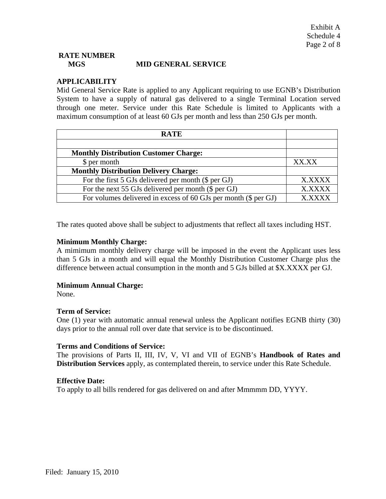# **RATE NUMBER MGS MID GENERAL SERVICE**

## **APPLICABILITY**

Mid General Service Rate is applied to any Applicant requiring to use EGNB's Distribution System to have a supply of natural gas delivered to a single Terminal Location served through one meter. Service under this Rate Schedule is limited to Applicants with a maximum consumption of at least 60 GJs per month and less than 250 GJs per month.

| <b>RATE</b>                                                     |               |
|-----------------------------------------------------------------|---------------|
|                                                                 |               |
| <b>Monthly Distribution Customer Charge:</b>                    |               |
| \$ per month                                                    | XX XX         |
| <b>Monthly Distribution Delivery Charge:</b>                    |               |
| For the first 5 GJs delivered per month $(\$$ per GJ)           | <b>X.XXXX</b> |
| For the next 55 GJs delivered per month $(\$$ per GJ)           | <b>X.XXXX</b> |
| For volumes delivered in excess of 60 GJs per month (\$ per GJ) | <b>YYYY</b>   |

The rates quoted above shall be subject to adjustments that reflect all taxes including HST.

#### **Minimum Monthly Charge:**

A mimimum monthly delivery charge will be imposed in the event the Applicant uses less than 5 GJs in a month and will equal the Monthly Distribution Customer Charge plus the difference between actual consumption in the month and 5 GJs billed at \$X.XXXX per GJ.

#### **Minimum Annual Charge:**

None.

#### **Term of Service:**

One (1) year with automatic annual renewal unless the Applicant notifies EGNB thirty (30) days prior to the annual roll over date that service is to be discontinued.

#### **Terms and Conditions of Service:**

The provisions of Parts II, III, IV, V, VI and VII of EGNB's **Handbook of Rates and Distribution Services** apply, as contemplated therein, to service under this Rate Schedule.

#### **Effective Date:**

To apply to all bills rendered for gas delivered on and after Mmmmm DD, YYYY.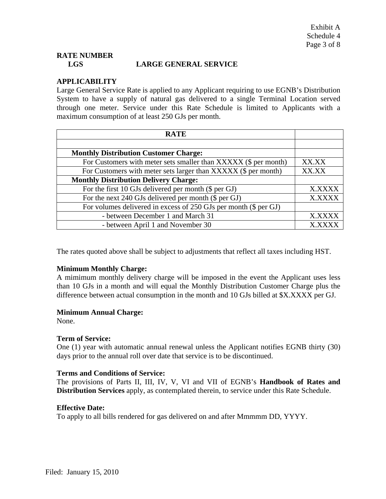# **RATE NUMBER LGS LARGE GENERAL SERVICE**

## **APPLICABILITY**

Large General Service Rate is applied to any Applicant requiring to use EGNB's Distribution System to have a supply of natural gas delivered to a single Terminal Location served through one meter. Service under this Rate Schedule is limited to Applicants with a maximum consumption of at least 250 GJs per month.

| <b>RATE</b>                                                      |               |
|------------------------------------------------------------------|---------------|
|                                                                  |               |
| <b>Monthly Distribution Customer Charge:</b>                     |               |
| For Customers with meter sets smaller than XXXXX (\$ per month)  | XX.XX         |
| For Customers with meter sets larger than XXXXX (\$ per month)   | XX.XX         |
| <b>Monthly Distribution Delivery Charge:</b>                     |               |
| For the first 10 GJs delivered per month $(\$$ per GJ)           | X.XXXX        |
| For the next 240 GJs delivered per month $(\$$ per GJ)           | X.XXXX        |
| For volumes delivered in excess of 250 GJs per month (\$ per GJ) |               |
| - between December 1 and March 31                                | X.XXXX        |
| - between April 1 and November 30                                | <b>X.XXXX</b> |

The rates quoted above shall be subject to adjustments that reflect all taxes including HST.

#### **Minimum Monthly Charge:**

A mimimum monthly delivery charge will be imposed in the event the Applicant uses less than 10 GJs in a month and will equal the Monthly Distribution Customer Charge plus the difference between actual consumption in the month and 10 GJs billed at \$X.XXXX per GJ.

#### **Minimum Annual Charge:**

None.

#### **Term of Service:**

One (1) year with automatic annual renewal unless the Applicant notifies EGNB thirty (30) days prior to the annual roll over date that service is to be discontinued.

#### **Terms and Conditions of Service:**

The provisions of Parts II, III, IV, V, VI and VII of EGNB's **Handbook of Rates and Distribution Services** apply, as contemplated therein, to service under this Rate Schedule.

#### **Effective Date:**

To apply to all bills rendered for gas delivered on and after Mmmmm DD, YYYY.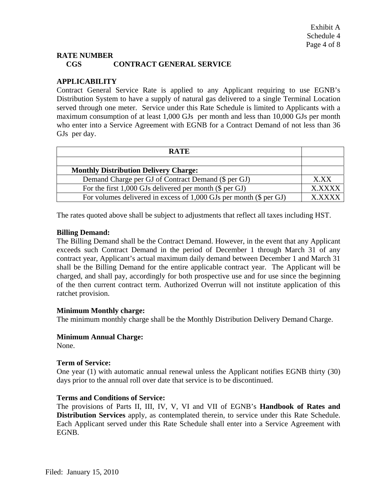## **RATE NUMBER CGS CONTRACT GENERAL SERVICE**

# **APPLICABILITY**

Contract General Service Rate is applied to any Applicant requiring to use EGNB's Distribution System to have a supply of natural gas delivered to a single Terminal Location served through one meter. Service under this Rate Schedule is limited to Applicants with a maximum consumption of at least 1,000 GJs per month and less than 10,000 GJs per month who enter into a Service Agreement with EGNB for a Contract Demand of not less than 36 GJs per day.

| <b>RATE</b>                                                          |               |
|----------------------------------------------------------------------|---------------|
|                                                                      |               |
| <b>Monthly Distribution Delivery Charge:</b>                         |               |
| Demand Charge per GJ of Contract Demand (\$ per GJ)                  | X.XX          |
| For the first $1,000$ GJs delivered per month (\$ per GJ)            | <b>X XXXX</b> |
| For volumes delivered in excess of $1,000$ GJs per month (\$ per GJ) |               |

The rates quoted above shall be subject to adjustments that reflect all taxes including HST.

#### **Billing Demand:**

The Billing Demand shall be the Contract Demand. However, in the event that any Applicant exceeds such Contract Demand in the period of December 1 through March 31 of any contract year, Applicant's actual maximum daily demand between December 1 and March 31 shall be the Billing Demand for the entire applicable contract year. The Applicant will be charged, and shall pay, accordingly for both prospective use and for use since the beginning of the then current contract term. Authorized Overrun will not institute application of this ratchet provision.

#### **Minimum Monthly charge:**

The minimum monthly charge shall be the Monthly Distribution Delivery Demand Charge.

#### **Minimum Annual Charge:**

None.

#### **Term of Service:**

One year (1) with automatic annual renewal unless the Applicant notifies EGNB thirty (30) days prior to the annual roll over date that service is to be discontinued.

#### **Terms and Conditions of Service:**

The provisions of Parts II, III, IV, V, VI and VII of EGNB's **Handbook of Rates and Distribution Services** apply, as contemplated therein, to service under this Rate Schedule. Each Applicant served under this Rate Schedule shall enter into a Service Agreement with EGNB.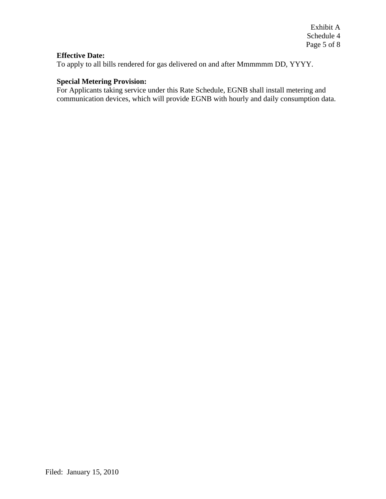Exhibit A Schedule 4 Page 5 of 8

## **Effective Date:**

To apply to all bills rendered for gas delivered on and after Mmmmmm DD, YYYY.

## **Special Metering Provision:**

For Applicants taking service under this Rate Schedule, EGNB shall install metering and communication devices, which will provide EGNB with hourly and daily consumption data.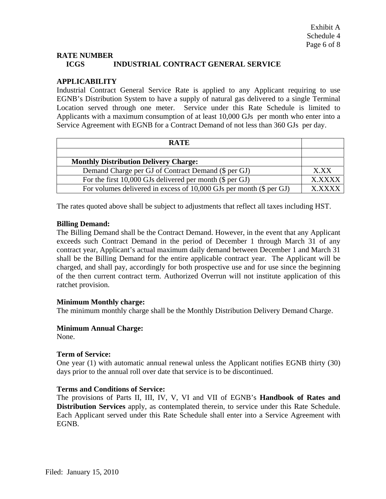## **RATE NUMBER ICGS INDUSTRIAL CONTRACT GENERAL SERVICE**

## **APPLICABILITY**

Industrial Contract General Service Rate is applied to any Applicant requiring to use EGNB's Distribution System to have a supply of natural gas delivered to a single Terminal Location served through one meter. Service under this Rate Schedule is limited to Applicants with a maximum consumption of at least 10,000 GJs per month who enter into a Service Agreement with EGNB for a Contract Demand of not less than 360 GJs per day.

| <b>RATE</b>                                                           |              |
|-----------------------------------------------------------------------|--------------|
|                                                                       |              |
| <b>Monthly Distribution Delivery Charge:</b>                          |              |
| Demand Charge per GJ of Contract Demand (\$ per GJ)                   | X.XX         |
| For the first 10,000 GJs delivered per month (\$ per GJ)              | <b>XXXXX</b> |
| For volumes delivered in excess of $10,000$ GJs per month (\$ per GJ) |              |

The rates quoted above shall be subject to adjustments that reflect all taxes including HST.

## **Billing Demand:**

The Billing Demand shall be the Contract Demand. However, in the event that any Applicant exceeds such Contract Demand in the period of December 1 through March 31 of any contract year, Applicant's actual maximum daily demand between December 1 and March 31 shall be the Billing Demand for the entire applicable contract year. The Applicant will be charged, and shall pay, accordingly for both prospective use and for use since the beginning of the then current contract term. Authorized Overrun will not institute application of this ratchet provision.

#### **Minimum Monthly charge:**

The minimum monthly charge shall be the Monthly Distribution Delivery Demand Charge.

## **Minimum Annual Charge:**

None.

#### **Term of Service:**

One year (1) with automatic annual renewal unless the Applicant notifies EGNB thirty (30) days prior to the annual roll over date that service is to be discontinued.

#### **Terms and Conditions of Service:**

The provisions of Parts II, III, IV, V, VI and VII of EGNB's **Handbook of Rates and Distribution Services** apply, as contemplated therein, to service under this Rate Schedule. Each Applicant served under this Rate Schedule shall enter into a Service Agreement with EGNB.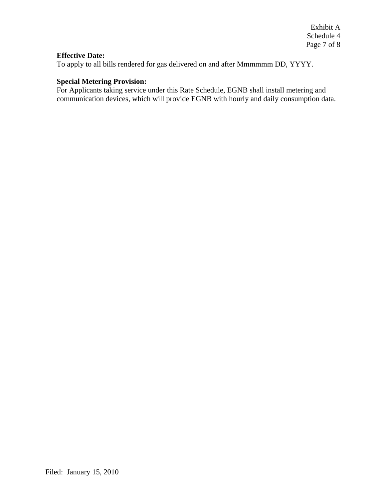Exhibit A Schedule 4 Page 7 of 8

#### **Effective Date:**

To apply to all bills rendered for gas delivered on and after Mmmmmm DD, YYYY.

## **Special Metering Provision:**

For Applicants taking service under this Rate Schedule, EGNB shall install metering and communication devices, which will provide EGNB with hourly and daily consumption data.